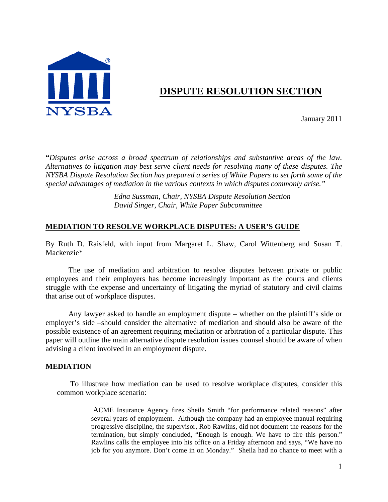

# **DISPUTE RESOLUTION SECTION**

January 2011

**"***Disputes arise across a broad spectrum of relationships and substantive areas of the law. Alternatives to litigation may best serve client needs for resolving many of these disputes. The NYSBA Dispute Resolution Section has prepared a series of White Papers to set forth some of the special advantages of mediation in the various contexts in which disputes commonly arise."*

> *Edna Sussman, Chair, NYSBA Dispute Resolution Section David Singer, Chair, White Paper Subcommittee*

# **MEDIATION TO RESOLVE WORKPLACE DISPUTES: A USER'S GUIDE**

By Ruth D. Raisfeld, with input from Margaret L. Shaw, Carol Wittenberg and Susan T. Mackenzie\*

 The use of mediation and arbitration to resolve disputes between private or public employees and their employers has become increasingly important as the courts and clients struggle with the expense and uncertainty of litigating the myriad of statutory and civil claims that arise out of workplace disputes.

 Any lawyer asked to handle an employment dispute – whether on the plaintiff's side or employer's side –should consider the alternative of mediation and should also be aware of the possible existence of an agreement requiring mediation or arbitration of a particular dispute. This paper will outline the main alternative dispute resolution issues counsel should be aware of when advising a client involved in an employment dispute.

# **MEDIATION**

 To illustrate how mediation can be used to resolve workplace disputes, consider this common workplace scenario:

> ACME Insurance Agency fires Sheila Smith "for performance related reasons" after several years of employment. Although the company had an employee manual requiring progressive discipline, the supervisor, Rob Rawlins, did not document the reasons for the termination, but simply concluded, "Enough is enough. We have to fire this person." Rawlins calls the employee into his office on a Friday afternoon and says, "We have no job for you anymore. Don't come in on Monday." Sheila had no chance to meet with a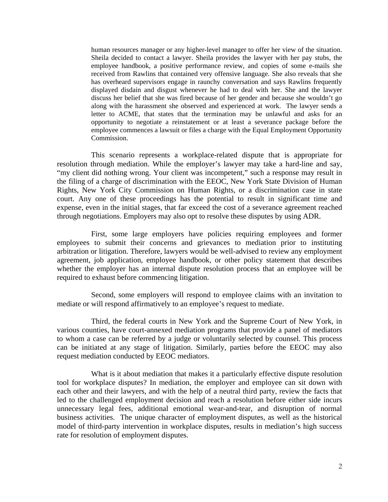human resources manager or any higher-level manager to offer her view of the situation. Sheila decided to contact a lawyer. Sheila provides the lawyer with her pay stubs, the employee handbook, a positive performance review, and copies of some e-mails she received from Rawlins that contained very offensive language. She also reveals that she has overheard supervisors engage in raunchy conversation and says Rawlins frequently displayed disdain and disgust whenever he had to deal with her. She and the lawyer discuss her belief that she was fired because of her gender and because she wouldn't go along with the harassment she observed and experienced at work. The lawyer sends a letter to ACME, that states that the termination may be unlawful and asks for an opportunity to negotiate a reinstatement or at least a severance package before the employee commences a lawsuit or files a charge with the Equal Employment Opportunity Commission.

 This scenario represents a workplace-related dispute that is appropriate for resolution through mediation. While the employer's lawyer may take a hard-line and say, "my client did nothing wrong. Your client was incompetent," such a response may result in the filing of a charge of discrimination with the EEOC, New York State Division of Human Rights, New York City Commission on Human Rights, or a discrimination case in state court. Any one of these proceedings has the potential to result in significant time and expense, even in the initial stages, that far exceed the cost of a severance agreement reached through negotiations. Employers may also opt to resolve these disputes by using ADR.

 First, some large employers have policies requiring employees and former employees to submit their concerns and grievances to mediation prior to instituting arbitration or litigation. Therefore, lawyers would be well-advised to review any employment agreement, job application, employee handbook, or other policy statement that describes whether the employer has an internal dispute resolution process that an employee will be required to exhaust before commencing litigation.

 Second, some employers will respond to employee claims with an invitation to mediate or will respond affirmatively to an employee's request to mediate.

 Third, the federal courts in New York and the Supreme Court of New York, in various counties, have court-annexed mediation programs that provide a panel of mediators to whom a case can be referred by a judge or voluntarily selected by counsel. This process can be initiated at any stage of litigation. Similarly, parties before the EEOC may also request mediation conducted by EEOC mediators.

 What is it about mediation that makes it a particularly effective dispute resolution tool for workplace disputes? In mediation, the employer and employee can sit down with each other and their lawyers, and with the help of a neutral third party, review the facts that led to the challenged employment decision and reach a resolution before either side incurs unnecessary legal fees, additional emotional wear-and-tear, and disruption of normal business activities. The unique character of employment disputes, as well as the historical model of third-party intervention in workplace disputes, results in mediation's high success rate for resolution of employment disputes.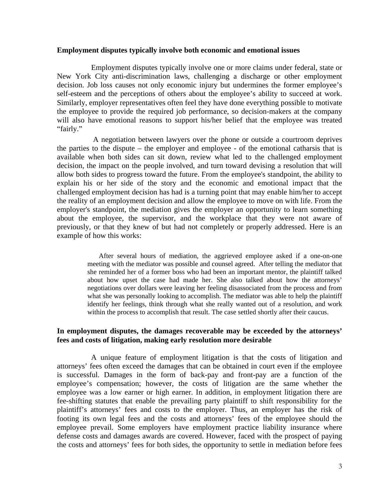#### **Employment disputes typically involve both economic and emotional issues**

 Employment disputes typically involve one or more claims under federal, state or New York City anti-discrimination laws, challenging a discharge or other employment decision. Job loss causes not only economic injury but undermines the former employee's self-esteem and the perceptions of others about the employee's ability to succeed at work. Similarly, employer representatives often feel they have done everything possible to motivate the employee to provide the required job performance, so decision-makers at the company will also have emotional reasons to support his/her belief that the employee was treated "fairly."

 A negotiation between lawyers over the phone or outside a courtroom deprives the parties to the dispute – the employer and employee - of the emotional catharsis that is available when both sides can sit down, review what led to the challenged employment decision, the impact on the people involved, and turn toward devising a resolution that will allow both sides to progress toward the future. From the employee's standpoint, the ability to explain his or her side of the story and the economic and emotional impact that the challenged employment decision has had is a turning point that may enable him/her to accept the reality of an employment decision and allow the employee to move on with life. From the employer's standpoint, the mediation gives the employer an opportunity to learn something about the employee, the supervisor, and the workplace that they were not aware of previously, or that they knew of but had not completely or properly addressed. Here is an example of how this works:

> After several hours of mediation, the aggrieved employee asked if a one-on-one meeting with the mediator was possible and counsel agreed. After telling the mediator that she reminded her of a former boss who had been an important mentor, the plaintiff talked about how upset the case had made her. She also talked about how the attorneys' negotiations over dollars were leaving her feeling disassociated from the process and from what she was personally looking to accomplish. The mediator was able to help the plaintiff identify her feelings, think through what she really wanted out of a resolution, and work within the process to accomplish that result. The case settled shortly after their caucus.

# **In employment disputes, the damages recoverable may be exceeded by the attorneys' fees and costs of litigation, making early resolution more desirable**

 A unique feature of employment litigation is that the costs of litigation and attorneys' fees often exceed the damages that can be obtained in court even if the employee is successful. Damages in the form of back-pay and front-pay are a function of the employee's compensation; however, the costs of litigation are the same whether the employee was a low earner or high earner. In addition, in employment litigation there are fee-shifting statutes that enable the prevailing party plaintiff to shift responsibility for the plaintiff's attorneys' fees and costs to the employer. Thus, an employer has the risk of footing its own legal fees and the costs and attorneys' fees of the employee should the employee prevail. Some employers have employment practice liability insurance where defense costs and damages awards are covered. However, faced with the prospect of paying the costs and attorneys' fees for both sides, the opportunity to settle in mediation before fees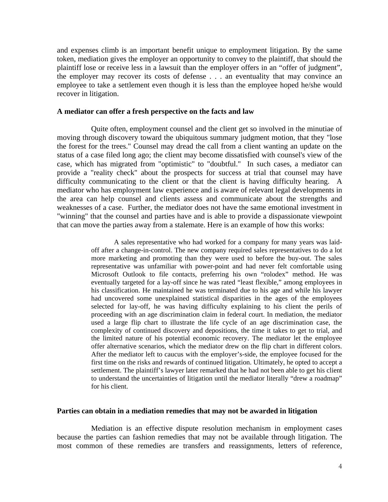and expenses climb is an important benefit unique to employment litigation. By the same token, mediation gives the employer an opportunity to convey to the plaintiff, that should the plaintiff lose or receive less in a lawsuit than the employer offers in an "offer of judgment", the employer may recover its costs of defense . . . an eventuality that may convince an employee to take a settlement even though it is less than the employee hoped he/she would recover in litigation.

#### **A mediator can offer a fresh perspective on the facts and law**

 Quite often, employment counsel and the client get so involved in the minutiae of moving through discovery toward the ubiquitous summary judgment motion, that they "lose the forest for the trees." Counsel may dread the call from a client wanting an update on the status of a case filed long ago; the client may become dissatisfied with counsel's view of the case, which has migrated from "optimistic" to "doubtful." In such cases, a mediator can provide a "reality check" about the prospects for success at trial that counsel may have difficulty communicating to the client or that the client is having difficulty hearing. A mediator who has employment law experience and is aware of relevant legal developments in the area can help counsel and clients assess and communicate about the strengths and weaknesses of a case. Further, the mediator does not have the same emotional investment in "winning" that the counsel and parties have and is able to provide a dispassionate viewpoint that can move the parties away from a stalemate. Here is an example of how this works:

> A sales representative who had worked for a company for many years was laidoff after a change-in-control. The new company required sales representatives to do a lot more marketing and promoting than they were used to before the buy-out. The sales representative was unfamiliar with power-point and had never felt comfortable using Microsoft Outlook to file contacts, preferring his own "rolodex" method. He was eventually targeted for a lay-off since he was rated "least flexible," among employees in his classification. He maintained he was terminated due to his age and while his lawyer had uncovered some unexplained statistical disparities in the ages of the employees selected for lay-off, he was having difficulty explaining to his client the perils of proceeding with an age discrimination claim in federal court. In mediation, the mediator used a large flip chart to illustrate the life cycle of an age discrimination case, the complexity of continued discovery and depositions, the time it takes to get to trial, and the limited nature of his potential economic recovery. The mediator let the employee offer alternative scenarios, which the mediator drew on the flip chart in different colors. After the mediator left to caucus with the employer's-side, the employee focused for the first time on the risks and rewards of continued litigation. Ultimately, he opted to accept a settlement. The plaintiff's lawyer later remarked that he had not been able to get his client to understand the uncertainties of litigation until the mediator literally "drew a roadmap" for his client.

#### **Parties can obtain in a mediation remedies that may not be awarded in litigation**

 Mediation is an effective dispute resolution mechanism in employment cases because the parties can fashion remedies that may not be available through litigation. The most common of these remedies are transfers and reassignments, letters of reference,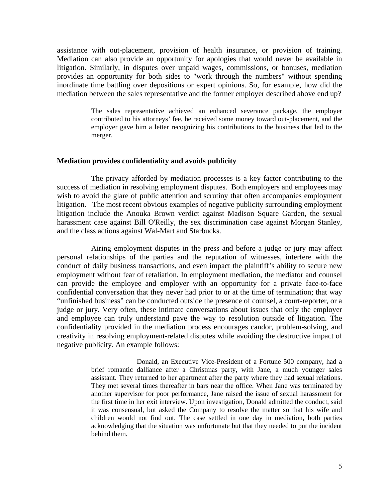assistance with out-placement, provision of health insurance, or provision of training. Mediation can also provide an opportunity for apologies that would never be available in litigation. Similarly, in disputes over unpaid wages, commissions, or bonuses, mediation provides an opportunity for both sides to "work through the numbers" without spending inordinate time battling over depositions or expert opinions. So, for example, how did the mediation between the sales representative and the former employer described above end up?

> The sales representative achieved an enhanced severance package, the employer contributed to his attorneys' fee, he received some money toward out-placement, and the employer gave him a letter recognizing his contributions to the business that led to the merger.

#### **Mediation provides confidentiality and avoids publicity**

 The privacy afforded by mediation processes is a key factor contributing to the success of mediation in resolving employment disputes. Both employers and employees may wish to avoid the glare of public attention and scrutiny that often accompanies employment litigation. The most recent obvious examples of negative publicity surrounding employment litigation include the Anouka Brown verdict against Madison Square Garden, the sexual harassment case against Bill O'Reilly, the sex discrimination case against Morgan Stanley, and the class actions against Wal-Mart and Starbucks.

 Airing employment disputes in the press and before a judge or jury may affect personal relationships of the parties and the reputation of witnesses, interfere with the conduct of daily business transactions, and even impact the plaintiff's ability to secure new employment without fear of retaliation. In employment mediation, the mediator and counsel can provide the employee and employer with an opportunity for a private face-to-face confidential conversation that they never had prior to or at the time of termination; that way "unfinished business" can be conducted outside the presence of counsel, a court-reporter, or a judge or jury. Very often, these intimate conversations about issues that only the employer and employee can truly understand pave the way to resolution outside of litigation. The confidentiality provided in the mediation process encourages candor, problem-solving, and creativity in resolving employment-related disputes while avoiding the destructive impact of negative publicity. An example follows:

> Donald, an Executive Vice-President of a Fortune 500 company, had a brief romantic dalliance after a Christmas party, with Jane, a much younger sales assistant. They returned to her apartment after the party where they had sexual relations. They met several times thereafter in bars near the office. When Jane was terminated by another supervisor for poor performance, Jane raised the issue of sexual harassment for the first time in her exit interview. Upon investigation, Donald admitted the conduct, said it was consensual, but asked the Company to resolve the matter so that his wife and children would not find out. The case settled in one day in mediation, both parties acknowledging that the situation was unfortunate but that they needed to put the incident behind them.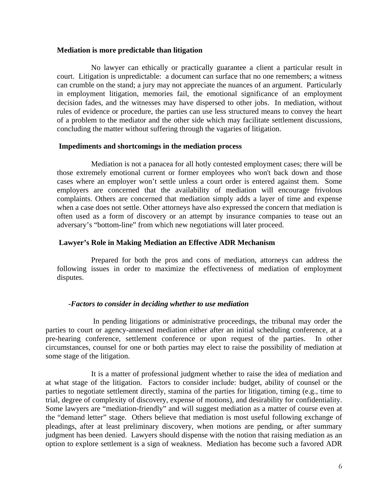#### **Mediation is more predictable than litigation**

 No lawyer can ethically or practically guarantee a client a particular result in court. Litigation is unpredictable: a document can surface that no one remembers; a witness can crumble on the stand; a jury may not appreciate the nuances of an argument. Particularly in employment litigation, memories fail, the emotional significance of an employment decision fades, and the witnesses may have dispersed to other jobs. In mediation, without rules of evidence or procedure, the parties can use less structured means to convey the heart of a problem to the mediator and the other side which may facilitate settlement discussions, concluding the matter without suffering through the vagaries of litigation.

## **Impediments and shortcomings in the mediation process**

 Mediation is not a panacea for all hotly contested employment cases; there will be those extremely emotional current or former employees who won't back down and those cases where an employer won't settle unless a court order is entered against them. Some employers are concerned that the availability of mediation will encourage frivolous complaints. Others are concerned that mediation simply adds a layer of time and expense when a case does not settle. Other attorneys have also expressed the concern that mediation is often used as a form of discovery or an attempt by insurance companies to tease out an adversary's "bottom-line" from which new negotiations will later proceed.

# **Lawyer's Role in Making Mediation an Effective ADR Mechanism**

 Prepared for both the pros and cons of mediation, attorneys can address the following issues in order to maximize the effectiveness of mediation of employment disputes.

# *-Factors to consider in deciding whether to use mediation*

 In pending litigations or administrative proceedings, the tribunal may order the parties to court or agency-annexed mediation either after an initial scheduling conference, at a pre-hearing conference, settlement conference or upon request of the parties. In other circumstances, counsel for one or both parties may elect to raise the possibility of mediation at some stage of the litigation.

 It is a matter of professional judgment whether to raise the idea of mediation and at what stage of the litigation. Factors to consider include: budget, ability of counsel or the parties to negotiate settlement directly, stamina of the parties for litigation, timing (e.g., time to trial, degree of complexity of discovery, expense of motions), and desirability for confidentiality. Some lawyers are "mediation-friendly" and will suggest mediation as a matter of course even at the "demand letter" stage. Others believe that mediation is most useful following exchange of pleadings, after at least preliminary discovery, when motions are pending, or after summary judgment has been denied. Lawyers should dispense with the notion that raising mediation as an option to explore settlement is a sign of weakness. Mediation has become such a favored ADR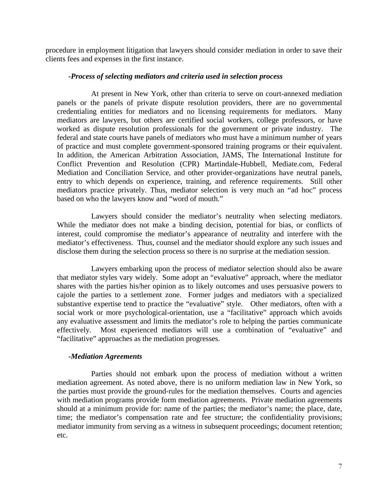procedure in employment litigation that lawyers should consider mediation in order to save their clients fees and expenses in the first instance.

#### *-Process of selecting mediators and criteria used in selection process*

 At present in New York, other than criteria to serve on court-annexed mediation panels or the panels of private dispute resolution providers, there are no governmental credentialing entities for mediators and no licensing requirements for mediators. Many mediators are lawyers, but others are certified social workers, college professors, or have worked as dispute resolution professionals for the government or private industry. The federal and state courts have panels of mediators who must have a minimum number of years of practice and must complete government-sponsored training programs or their equivalent. In addition, the American Arbitration Association, JAMS, The International Institute for Conflict Prevention and Resolution (CPR) Martindale-Hubbell, Mediate.com, Federal Mediation and Conciliation Service, and other provider-organizations have neutral panels, entry to which depends on experience, training, and reference requirements. Still other mediators practice privately. Thus, mediator selection is very much an "ad hoc" process based on who the lawyers know and "word of mouth."

 Lawyers should consider the mediator's neutrality when selecting mediators. While the mediator does not make a binding decision, potential for bias, or conflicts of interest, could compromise the mediator's appearance of neutrality and interfere with the mediator's effectiveness. Thus, counsel and the mediator should explore any such issues and disclose them during the selection process so there is no surprise at the mediation session.

 Lawyers embarking upon the process of mediator selection should also be aware that mediator styles vary widely. Some adopt an "evaluative" approach, where the mediator shares with the parties his/her opinion as to likely outcomes and uses persuasive powers to cajole the parties to a settlement zone. Former judges and mediators with a specialized substantive expertise tend to practice the "evaluative" style. Other mediators, often with a social work or more psychological-orientation, use a "facilitative" approach which avoids any evaluative assessment and limits the mediator's role to helping the parties communicate effectively. Most experienced mediators will use a combination of "evaluative" and "facilitative" approaches as the mediation progresses.

#### *-Mediation Agreements*

 Parties should not embark upon the process of mediation without a written mediation agreement. As noted above, there is no uniform mediation law in New York, so the parties must provide the ground-rules for the mediation themselves. Courts and agencies with mediation programs provide form mediation agreements. Private mediation agreements should at a minimum provide for: name of the parties; the mediator's name; the place, date, time; the mediator's compensation rate and fee structure; the confidentiality provisions; mediator immunity from serving as a witness in subsequent proceedings; document retention; etc.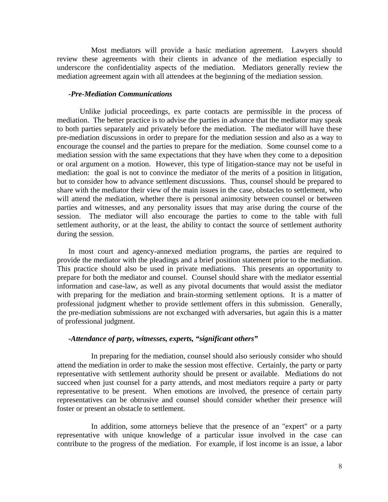Most mediators will provide a basic mediation agreement. Lawyers should review these agreements with their clients in advance of the mediation especially to underscore the confidentiality aspects of the mediation. Mediators generally review the mediation agreement again with all attendees at the beginning of the mediation session.

#### *-Pre-Mediation Communications*

Unlike judicial proceedings, ex parte contacts are permissible in the process of mediation. The better practice is to advise the parties in advance that the mediator may speak to both parties separately and privately before the mediation. The mediator will have these pre-mediation discussions in order to prepare for the mediation session and also as a way to encourage the counsel and the parties to prepare for the mediation. Some counsel come to a mediation session with the same expectations that they have when they come to a deposition or oral argument on a motion. However, this type of litigation-stance may not be useful in mediation: the goal is not to convince the mediator of the merits of a position in litigation, but to consider how to advance settlement discussions. Thus, counsel should be prepared to share with the mediator their view of the main issues in the case, obstacles to settlement, who will attend the mediation, whether there is personal animosity between counsel or between parties and witnesses, and any personality issues that may arise during the course of the session. The mediator will also encourage the parties to come to the table with full settlement authority, or at the least, the ability to contact the source of settlement authority during the session.

 In most court and agency-annexed mediation programs, the parties are required to provide the mediator with the pleadings and a brief position statement prior to the mediation. This practice should also be used in private mediations. This presents an opportunity to prepare for both the mediator and counsel. Counsel should share with the mediator essential information and case-law, as well as any pivotal documents that would assist the mediator with preparing for the mediation and brain-storming settlement options. It is a matter of professional judgment whether to provide settlement offers in this submission. Generally, the pre-mediation submissions are not exchanged with adversaries, but again this is a matter of professional judgment.

# *-Attendance of party, witnesses, experts, "significant others"*

 In preparing for the mediation, counsel should also seriously consider who should attend the mediation in order to make the session most effective. Certainly, the party or party representative with settlement authority should be present or available. Mediations do not succeed when just counsel for a party attends, and most mediators require a party or party representative to be present. When emotions are involved, the presence of certain party representatives can be obtrusive and counsel should consider whether their presence will foster or present an obstacle to settlement.

 In addition, some attorneys believe that the presence of an "expert" or a party representative with unique knowledge of a particular issue involved in the case can contribute to the progress of the mediation. For example, if lost income is an issue, a labor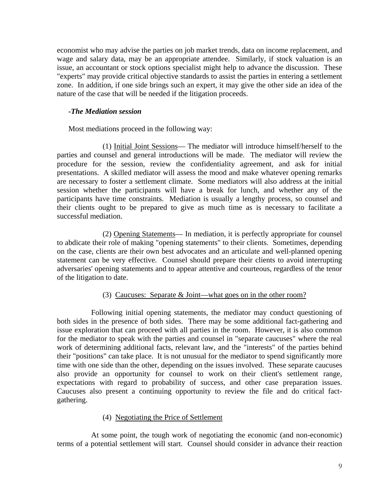economist who may advise the parties on job market trends, data on income replacement, and wage and salary data, may be an appropriate attendee. Similarly, if stock valuation is an issue, an accountant or stock options specialist might help to advance the discussion. These "experts" may provide critical objective standards to assist the parties in entering a settlement zone. In addition, if one side brings such an expert, it may give the other side an idea of the nature of the case that will be needed if the litigation proceeds.

## *-The Mediation session*

Most mediations proceed in the following way:

 (1) Initial Joint Sessions— The mediator will introduce himself/herself to the parties and counsel and general introductions will be made. The mediator will review the procedure for the session, review the confidentiality agreement, and ask for initial presentations. A skilled mediator will assess the mood and make whatever opening remarks are necessary to foster a settlement climate. Some mediators will also address at the initial session whether the participants will have a break for lunch, and whether any of the participants have time constraints. Mediation is usually a lengthy process, so counsel and their clients ought to be prepared to give as much time as is necessary to facilitate a successful mediation.

 (2) Opening Statements— In mediation, it is perfectly appropriate for counsel to abdicate their role of making "opening statements" to their clients. Sometimes, depending on the case, clients are their own best advocates and an articulate and well-planned opening statement can be very effective. Counsel should prepare their clients to avoid interrupting adversaries' opening statements and to appear attentive and courteous, regardless of the tenor of the litigation to date.

# (3) Caucuses: Separate & Joint—what goes on in the other room?

 Following initial opening statements, the mediator may conduct questioning of both sides in the presence of both sides. There may be some additional fact-gathering and issue exploration that can proceed with all parties in the room. However, it is also common for the mediator to speak with the parties and counsel in "separate caucuses" where the real work of determining additional facts, relevant law, and the "interests" of the parties behind their "positions" can take place. It is not unusual for the mediator to spend significantly more time with one side than the other, depending on the issues involved. These separate caucuses also provide an opportunity for counsel to work on their client's settlement range, expectations with regard to probability of success, and other case preparation issues. Caucuses also present a continuing opportunity to review the file and do critical factgathering.

#### (4) Negotiating the Price of Settlement

 At some point, the tough work of negotiating the economic (and non-economic) terms of a potential settlement will start. Counsel should consider in advance their reaction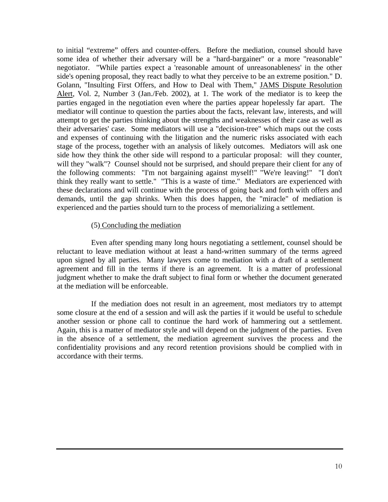to initial "extreme" offers and counter-offers. Before the mediation, counsel should have some idea of whether their adversary will be a "hard-bargainer" or a more "reasonable" negotiator. "While parties expect a 'reasonable amount of unreasonableness' in the other side's opening proposal, they react badly to what they perceive to be an extreme position." D. Golann, "Insulting First Offers, and How to Deal with Them," JAMS Dispute Resolution Alert, Vol. 2, Number 3 (Jan./Feb. 2002), at 1. The work of the mediator is to keep the parties engaged in the negotiation even where the parties appear hopelessly far apart. The mediator will continue to question the parties about the facts, relevant law, interests, and will attempt to get the parties thinking about the strengths and weaknesses of their case as well as their adversaries' case. Some mediators will use a "decision-tree" which maps out the costs and expenses of continuing with the litigation and the numeric risks associated with each stage of the process, together with an analysis of likely outcomes. Mediators will ask one side how they think the other side will respond to a particular proposal: will they counter, will they "walk"? Counsel should not be surprised, and should prepare their client for any of the following comments: "I'm not bargaining against myself!" "We're leaving!" "I don't think they really want to settle." "This is a waste of time." Mediators are experienced with these declarations and will continue with the process of going back and forth with offers and demands, until the gap shrinks. When this does happen, the "miracle" of mediation is experienced and the parties should turn to the process of memorializing a settlement.

## (5) Concluding the mediation

 Even after spending many long hours negotiating a settlement, counsel should be reluctant to leave mediation without at least a hand-written summary of the terms agreed upon signed by all parties. Many lawyers come to mediation with a draft of a settlement agreement and fill in the terms if there is an agreement. It is a matter of professional judgment whether to make the draft subject to final form or whether the document generated at the mediation will be enforceable.

 If the mediation does not result in an agreement, most mediators try to attempt some closure at the end of a session and will ask the parties if it would be useful to schedule another session or phone call to continue the hard work of hammering out a settlement. Again, this is a matter of mediator style and will depend on the judgment of the parties. Even in the absence of a settlement, the mediation agreement survives the process and the confidentiality provisions and any record retention provisions should be complied with in accordance with their terms.